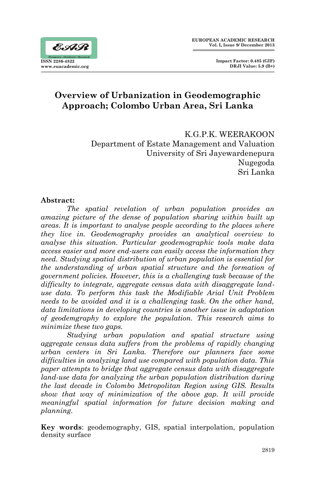

# **Overview of Urbanization in Geodemographic Approach; Colombo Urban Area, Sri Lanka**

K.G.P.K. WEERAKOON Department of Estate Management and Valuation University of Sri Jayewardenepura Nugegoda Sri Lanka

### **Abstract:**

*The spatial revelation of urban population provides an amazing picture of the dense of population sharing within built up areas. It is important to analyse people according to the places where they live in. Geodemography provides an analytical overview to analyse this situation. Particular geodemographic tools make data access easier and more end-users can easily access the information they need. Studying spatial distribution of urban population is essential for the understanding of urban spatial structure and the formation of government policies. However, this is a challenging task because of the difficulty to integrate, aggregate census data with disaggregate landuse data. To perform this task the Modifiable Arial Unit Problem needs to be avoided and it is a challenging task. On the other hand, data limitations in developing countries is another issue in adaptation of geodemgraphy to explore the population. This research aims to minimize these two gaps.* 

*Studying urban population and spatial structure using aggregate census data suffers from the problems of rapidly changing urban centers in Sri Lanka. Therefore our planners face some difficulties in analyzing land use compared with population data. This paper attempts to bridge that aggregate census data with disaggregate land-use data for analyzing the urban population distribution during the last decade in Colombo Metropolitan Region using GIS. Results show that way of minimization of the above gap. It will provide meaningful spatial information for future decision making and planning.* 

**Key words**: geodemography, GIS, spatial interpolation, population density surface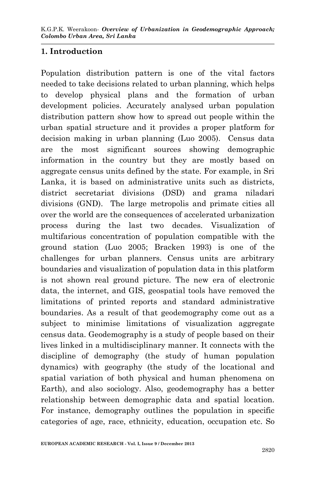## **1. Introduction**

Population distribution pattern is one of the vital factors needed to take decisions related to urban planning, which helps to develop physical plans and the formation of urban development policies. Accurately analysed urban population distribution pattern show how to spread out people within the urban spatial structure and it provides a proper platform for decision making in urban planning (Luo 2005). Census data are the most significant sources showing demographic information in the country but they are mostly based on aggregate census units defined by the state. For example, in Sri Lanka, it is based on administrative units such as districts, district secretariat divisions (DSD) and grama niladari divisions (GND). The large metropolis and primate cities all over the world are the consequences of accelerated urbanization process during the last two decades. Visualization of multifarious concentration of population compatible with the ground station (Luo 2005; Bracken 1993) is one of the challenges for urban planners. Census units are arbitrary boundaries and visualization of population data in this platform is not shown real ground picture. The new era of electronic data, the internet, and GIS, geospatial tools have removed the limitations of printed reports and standard administrative boundaries. As a result of that geodemography come out as a subject to minimise limitations of visualization aggregate census data. Geodemography is a study of people based on their lives linked in a multidisciplinary manner. It connects with the discipline of demography (the study of human population dynamics) with geography (the study of the locational and spatial variation of both physical and human phenomena on Earth), and also sociology. Also, geodemography has a better relationship between demographic data and spatial location. For instance, demography outlines the population in specific categories of age, race, ethnicity, education, occupation etc. So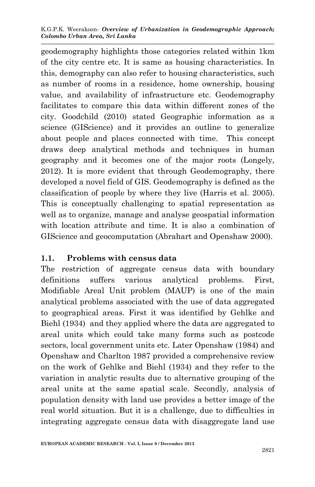K.G.P.K. Weerakoon- *Overview of Urbanization in Geodemographic Approach; Colombo Urban Area, Sri Lanka* 

geodemography highlights those categories related within 1km of the city centre etc. It is same as housing characteristics. In this, demography can also refer to housing characteristics, such as number of rooms in a residence, home ownership, housing value, and availability of infrastructure etc. Geodemography facilitates to compare this data within different zones of the city. Goodchild (2010) stated Geographic information as a science (GIScience) and it provides an outline to generalize about people and places connected with time. This concept draws deep analytical methods and techniques in human geography and it becomes one of the major roots (Longely, 2012). It is more evident that through Geodemography, there developed a novel field of GIS. Geodemography is defined as the classification of people by where they live (Harris et al. 2005). This is conceptually challenging to spatial representation as well as to organize, manage and analyse geospatial information with location attribute and time. It is also a combination of GIScience and geocomputation (Abrahart and Openshaw 2000).

### **1.1. Problems with census data**

The restriction of aggregate census data with boundary definitions suffers various analytical problems. First, Modifiable Areal Unit problem (MAUP) is one of the main analytical problems associated with the use of data aggregated to geographical areas. First it was identified by Gehlke and Biehl (1934) and they applied where the data are aggregated to areal units which could take many forms such as postcode sectors, local government units etc. Later Openshaw (1984) and Openshaw and Charlton 1987 provided a comprehensive review on the work of Gehlke and Biehl (1934) and they refer to the variation in analytic results due to alternative grouping of the areal units at the same spatial scale. Secondly, analysis of population density with land use provides a better image of the real world situation. But it is a challenge, due to difficulties in integrating aggregate census data with disaggregate land use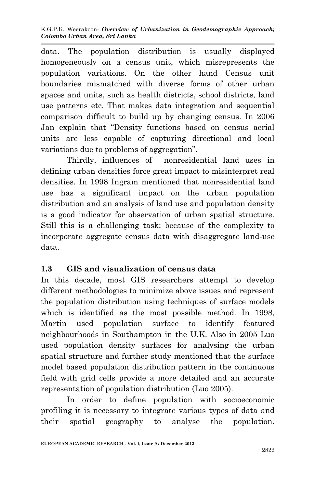K.G.P.K. Weerakoon- *Overview of Urbanization in Geodemographic Approach; Colombo Urban Area, Sri Lanka* 

data. The population distribution is usually displayed homogeneously on a census unit, which misrepresents the population variations. On the other hand Census unit boundaries mismatched with diverse forms of other urban spaces and units, such as health districts, school districts, land use patterns etc. That makes data integration and sequential comparison difficult to build up by changing census. In 2006 Jan explain that "Density functions based on census aerial units are less capable of capturing directional and local variations due to problems of aggregation".

Thirdly, influences of nonresidential land uses in defining urban densities force great impact to misinterpret real densities. In 1998 Ingram mentioned that nonresidential land use has a significant impact on the urban population distribution and an analysis of land use and population density is a good indicator for observation of urban spatial structure. Still this is a challenging task; because of the complexity to incorporate aggregate census data with disaggregate land-use data.

### **1.3 GIS and visualization of census data**

In this decade, most GIS researchers attempt to develop different methodologies to minimize above issues and represent the population distribution using techniques of surface models which is identified as the most possible method. In 1998, Martin used population surface to identify featured neighbourhoods in Southampton in the U.K. Also in 2005 Luo used population density surfaces for analysing the urban spatial structure and further study mentioned that the surface model based population distribution pattern in the continuous field with grid cells provide a more detailed and an accurate representation of population distribution (Luo 2005).

In order to define population with socioeconomic profiling it is necessary to integrate various types of data and their spatial geography to analyse the population.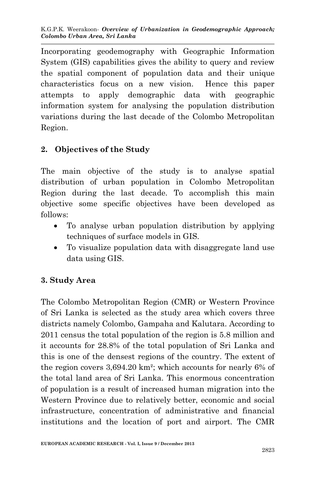Incorporating geodemography with Geographic Information System (GIS) capabilities gives the ability to query and review the spatial component of population data and their unique characteristics focus on a new vision. Hence this paper attempts to apply demographic data with geographic information system for analysing the population distribution variations during the last decade of the Colombo Metropolitan Region.

# **2. Objectives of the Study**

The main objective of the study is to analyse spatial distribution of urban population in Colombo Metropolitan Region during the last decade. To accomplish this main objective some specific objectives have been developed as follows:

- To analyse urban population distribution by applying techniques of surface models in GIS.
- To visualize population data with disaggregate land use data using GIS.

# **3. Study Area**

The Colombo Metropolitan Region (CMR) or Western Province of Sri Lanka is selected as the study area which covers three districts namely Colombo, Gampaha and Kalutara. According to 2011 census the total population of the region is 5.8 million and it accounts for 28.8% of the total population of Sri Lanka and this is one of the densest regions of the country. The extent of the region covers 3,694.20 km²; which accounts for nearly 6% of the total land area of Sri Lanka. This enormous concentration of population is a result of increased human migration into the Western Province due to relatively better, economic and social infrastructure, concentration of administrative and financial institutions and the location of port and airport. The CMR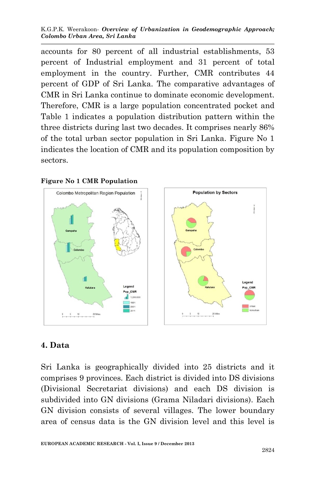K.G.P.K. Weerakoon- *Overview of Urbanization in Geodemographic Approach; Colombo Urban Area, Sri Lanka* 

accounts for 80 percent of all industrial establishments, 53 percent of Industrial employment and 31 percent of total employment in the country. Further, CMR contributes 44 percent of GDP of Sri Lanka. The comparative advantages of CMR in Sri Lanka continue to dominate economic development. Therefore, CMR is a large population concentrated pocket and Table 1 indicates a population distribution pattern within the three districts during last two decades. It comprises nearly 86% of the total urban sector population in Sri Lanka. Figure No 1 indicates the location of CMR and its population composition by sectors.



#### **Figure No 1 CMR Population**

### **4. Data**

Sri Lanka is geographically divided into 25 districts and it comprises 9 provinces. Each district is divided into DS divisions (Divisional Secretariat divisions) and each DS division is subdivided into GN divisions (Grama Niladari divisions). Each GN division consists of several villages. The lower boundary area of census data is the GN division level and this level is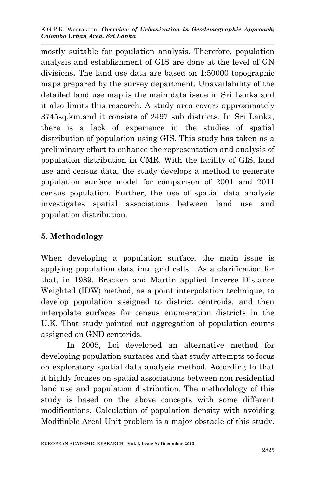K.G.P.K. Weerakoon- *Overview of Urbanization in Geodemographic Approach; Colombo Urban Area, Sri Lanka* 

mostly suitable for population analysis**.** Therefore, population analysis and establishment of GIS are done at the level of GN divisions**.** The land use data are based on 1:50000 topographic maps prepared by the survey department. Unavailability of the detailed land use map is the main data issue in Sri Lanka and it also limits this research. A study area covers approximately 3745sq.km.and it consists of 2497 sub districts. In Sri Lanka, there is a lack of experience in the studies of spatial distribution of population using GIS. This study has taken as a preliminary effort to enhance the representation and analysis of population distribution in CMR. With the facility of GIS, land use and census data, the study develops a method to generate population surface model for comparison of 2001 and 2011 census population. Further, the use of spatial data analysis investigates spatial associations between land use and population distribution.

## **5. Methodology**

When developing a population surface, the main issue is applying population data into grid cells. As a clarification for that, in 1989, Bracken and Martin applied Inverse Distance Weighted (IDW) method, as a point interpolation technique, to develop population assigned to district centroids, and then interpolate surfaces for census enumeration districts in the U.K. That study pointed out aggregation of population counts assigned on GND centorids.

In 2005, Loi developed an alternative method for developing population surfaces and that study attempts to focus on exploratory spatial data analysis method. According to that it highly focuses on spatial associations between non residential land use and population distribution. The methodology of this study is based on the above concepts with some different modifications. Calculation of population density with avoiding Modifiable Areal Unit problem is a major obstacle of this study.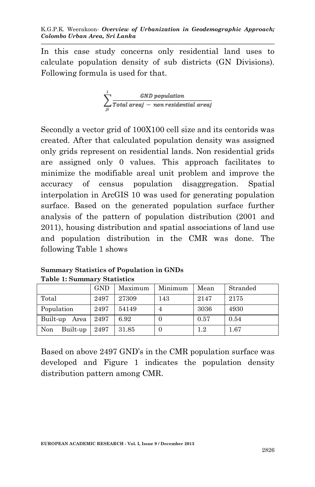In this case study concerns only residential land uses to calculate population density of sub districts (GN Divisions). Following formula is used for that.

$$
\sum_{ji}^{i} \frac{GND\ population}{Total\ area j \ -\ non\ residual\ area j}
$$

Secondly a vector grid of 100X100 cell size and its centorids was created. After that calculated population density was assigned only grids represent on residential lands. Non residential grids are assigned only 0 values. This approach facilitates to minimize the modifiable areal unit problem and improve the accuracy of census population disaggregation. Spatial interpolation in ArcGIS 10 was used for generating population surface. Based on the generated population surface further analysis of the pattern of population distribution (2001 and 2011), housing distribution and spatial associations of land use and population distribution in the CMR was done. The following Table 1 shows

|  |                 | <b>GND</b> | Maximum | Minimum  | Mean    | Stranded |  |
|--|-----------------|------------|---------|----------|---------|----------|--|
|  | Total           | 2497       | 27309   | 143      | 2147    | 2175     |  |
|  | Population      | 2497       | 54149   | 4        | 3036    | 4930     |  |
|  | Built-up Area   | 2497       | 6.92    | 0        | 0.57    | 0.54     |  |
|  | Non<br>Built-up | 2497       | 31.85   | $\theta$ | $1.2\,$ | 1.67     |  |

**Summary Statistics of Population in GNDs Table 1: Summary Statistics**

Area

Based on above 2497 GND's in the CMR population surface was developed and Figure 1 indicates the population density distribution pattern among CMR.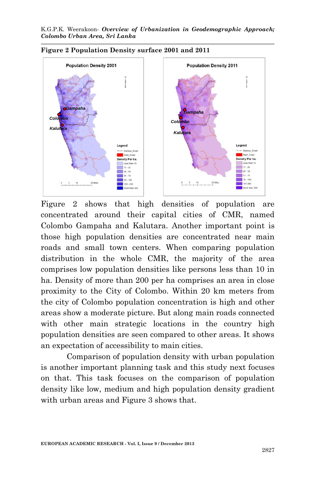

Figure 2 shows that high densities of population are concentrated around their capital cities of CMR, named Colombo Gampaha and Kalutara. Another important point is those high population densities are concentrated near main roads and small town centers. When comparing population distribution in the whole CMR, the majority of the area comprises low population densities like persons less than 10 in ha. Density of more than 200 per ha comprises an area in close proximity to the City of Colombo. Within 20 km meters from the city of Colombo population concentration is high and other areas show a moderate picture. But along main roads connected with other main strategic locations in the country high population densities are seen compared to other areas. It shows an expectation of accessibility to main cities.

Comparison of population density with urban population is another important planning task and this study next focuses on that. This task focuses on the comparison of population density like low, medium and high population density gradient with urban areas and Figure 3 shows that.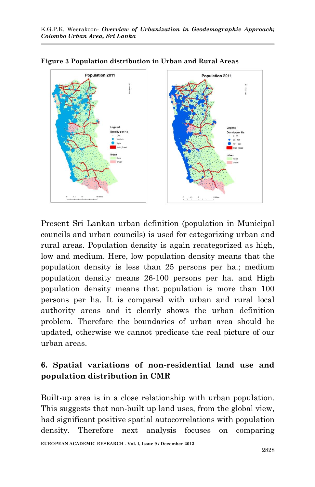



Present Sri Lankan urban definition (population in Municipal councils and urban councils) is used for categorizing urban and rural areas. Population density is again recategorized as high, low and medium. Here, low population density means that the population density is less than 25 persons per ha.; medium population density means 26-100 persons per ha. and High population density means that population is more than 100 persons per ha. It is compared with urban and rural local authority areas and it clearly shows the urban definition problem. Therefore the boundaries of urban area should be updated, otherwise we cannot predicate the real picture of our urban areas.

# **6. Spatial variations of non-residential land use and population distribution in CMR**

Built-up area is in a close relationship with urban population. This suggests that non-built up land uses, from the global view, had significant positive spatial autocorrelations with population density. Therefore next analysis focuses on comparing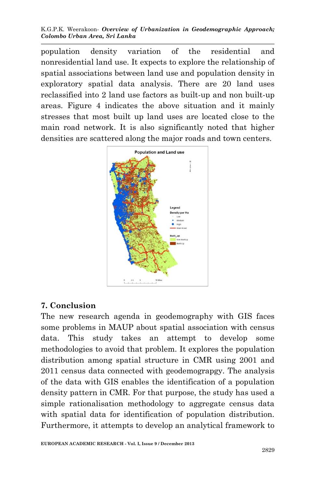K.G.P.K. Weerakoon- *Overview of Urbanization in Geodemographic Approach; Colombo Urban Area, Sri Lanka* 

population density variation of the residential and nonresidential land use. It expects to explore the relationship of spatial associations between land use and population density in exploratory spatial data analysis. There are 20 land uses reclassified into 2 land use factors as built-up and non built-up areas. Figure 4 indicates the above situation and it mainly stresses that most built up land uses are located close to the main road network. It is also significantly noted that higher densities are scattered along the major roads and town centers.



### **7. Conclusion**

The new research agenda in geodemography with GIS faces some problems in MAUP about spatial association with census data. This study takes an attempt to develop some methodologies to avoid that problem. It explores the population distribution among spatial structure in CMR using 2001 and 2011 census data connected with geodemograpgy. The analysis of the data with GIS enables the identification of a population density pattern in CMR. For that purpose, the study has used a simple rationalisation methodology to aggregate census data with spatial data for identification of population distribution. Furthermore, it attempts to develop an analytical framework to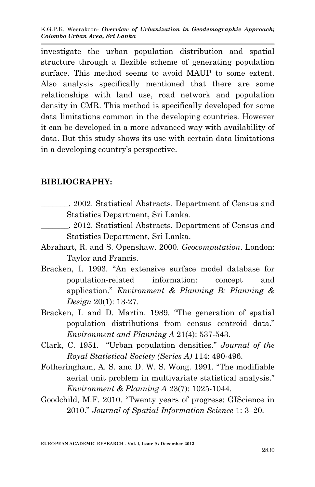investigate the urban population distribution and spatial structure through a flexible scheme of generating population surface. This method seems to avoid MAUP to some extent. Also analysis specifically mentioned that there are some relationships with land use, road network and population density in CMR. This method is specifically developed for some data limitations common in the developing countries. However it can be developed in a more advanced way with availability of data. But this study shows its use with certain data limitations in a developing country's perspective.

### **BIBLIOGRAPHY:**

- \_\_\_\_\_\_\_. 2002. Statistical Abstracts. Department of Census and Statistics Department, Sri Lanka.
- \_\_\_\_\_\_\_. 2012. Statistical Abstracts. Department of Census and Statistics Department, Sri Lanka.
- Abrahart, R. and S. Openshaw. 2000. *Geocomputation*. London: Taylor and Francis.
- Bracken, I. 1993. "An extensive surface model database for population-related information: concept and application." *Environment & Planning B: Planning & Design* 20(1): 13-27.
- Bracken, I. and D. Martin. 1989. "The generation of spatial population distributions from census centroid data." *Environment and Planning A* 21(4): 537-543.
- Clark, C. 1951. "Urban population densities." *Journal of the Royal Statistical Society (Series A)* 114: 490-496.
- Fotheringham, A. S. and D. W. S. Wong. 1991. "The modifiable aerial unit problem in multivariate statistical analysis." *Environment & Planning A* 23(7): 1025-1044.
- Goodchild, M.F. 2010. "Twenty years of progress: GIScience in 2010." *Journal of Spatial Information Science* 1: 3–20.